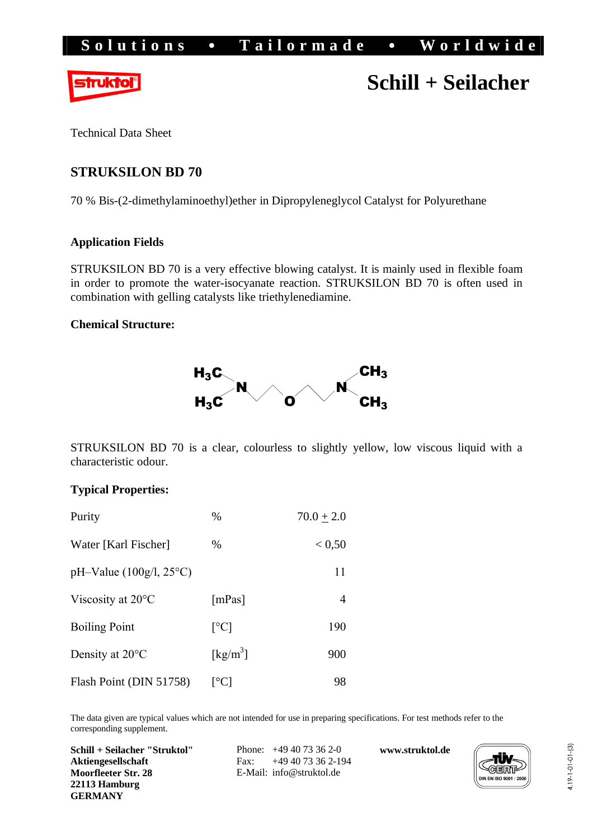# Solutions • Tailormade • Worldwide



# **Schill + Seilacher**

Technical Data Sheet

## **STRUKSILON BD 70**

70 % Bis-(2-dimethylaminoethyl)ether in Dipropyleneglycol Catalyst for Polyurethane

### **Application Fields**

STRUKSILON BD 70 is a very effective blowing catalyst. It is mainly used in flexible foam in order to promote the water-isocyanate reaction. STRUKSILON BD 70 is often used in combination with gelling catalysts like triethylenediamine.

#### **Chemical Structure:**



STRUKSILON BD 70 is a clear, colourless to slightly yellow, low viscous liquid with a characteristic odour.

#### **Typical Properties:**

| Purity                      | $\%$                           | $70.0 + 2.0$ |
|-----------------------------|--------------------------------|--------------|
| Water [Karl Fischer]        | $\%$                           | < 0, 50      |
| $pH-Value (100g/l, 25°C)$   |                                | 11           |
| Viscosity at $20^{\circ}$ C | [mPas]                         | 4            |
| <b>Boiling Point</b>        | $\lceil{^{\circ}C}\rceil$      | 190          |
| Density at 20°C             | $\left[\mathrm{kg/m}^3\right]$ | 900          |
| Flash Point (DIN 51758)     | $\lceil{^{\circ}C}\rceil$      | 98           |

The data given are typical values which are not intended for use in preparing specifications. For test methods refer to the corresponding supplement.

**Schill + Seilacher "Struktol" Aktiengesellschaft Moorfleeter Str. 28 22113 Hamburg GERMANY**

Phone: +49 40 73 36 2-0 Fax: +49 40 73 36 2-194 E-Mail: [info@struktol.de](mailto:info@struktol.de)

**[www.struktol.de](http://www.struktol.de)**